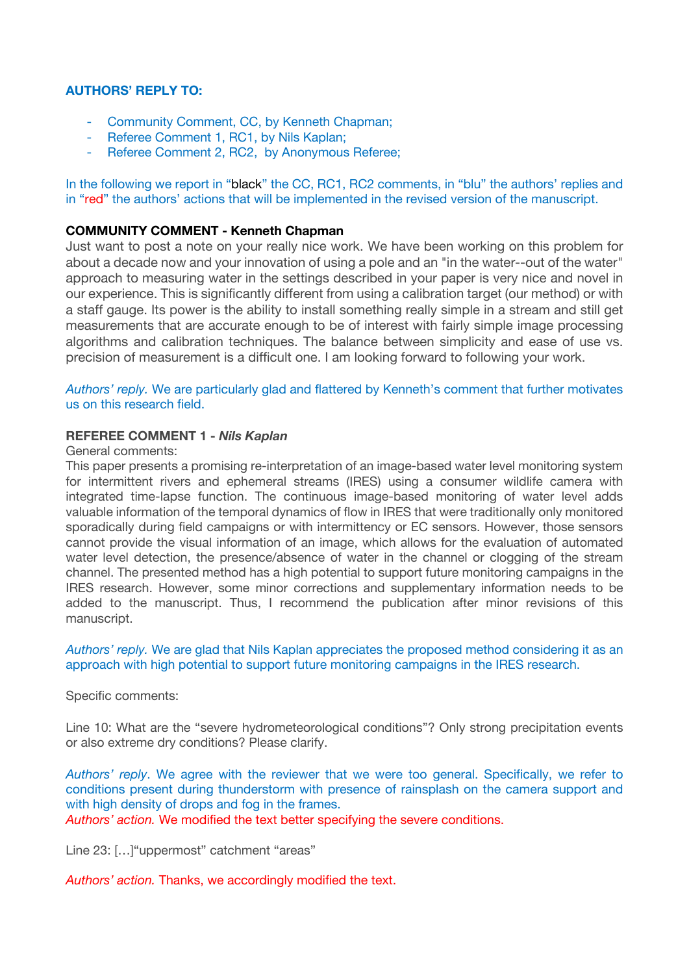# **AUTHORS' REPLY TO:**

- Community Comment, CC, by Kenneth Chapman;
- Referee Comment 1, RC1, by Nils Kaplan;
- Referee Comment 2, RC2, by Anonymous Referee;

In the following we report in "black" the CC, RC1, RC2 comments, in "blu" the authors' replies and in "red" the authors' actions that will be implemented in the revised version of the manuscript.

# **COMMUNITY COMMENT - Kenneth Chapman**

Just want to post a note on your really nice work. We have been working on this problem for about a decade now and your innovation of using a pole and an "in the water--out of the water" approach to measuring water in the settings described in your paper is very nice and novel in our experience. This is significantly different from using a calibration target (our method) or with a staff gauge. Its power is the ability to install something really simple in a stream and still get measurements that are accurate enough to be of interest with fairly simple image processing algorithms and calibration techniques. The balance between simplicity and ease of use vs. precision of measurement is a difficult one. I am looking forward to following your work.

*Authors' reply.* We are particularly glad and flattered by Kenneth's comment that further motivates us on this research field.

## **REFEREE COMMENT 1 -** *Nils Kaplan*

## General comments:

This paper presents a promising re-interpretation of an image-based water level monitoring system for intermittent rivers and ephemeral streams (IRES) using a consumer wildlife camera with integrated time-lapse function. The continuous image-based monitoring of water level adds valuable information of the temporal dynamics of flow in IRES that were traditionally only monitored sporadically during field campaigns or with intermittency or EC sensors. However, those sensors cannot provide the visual information of an image, which allows for the evaluation of automated water level detection, the presence/absence of water in the channel or clogging of the stream channel. The presented method has a high potential to support future monitoring campaigns in the IRES research. However, some minor corrections and supplementary information needs to be added to the manuscript. Thus, I recommend the publication after minor revisions of this manuscript.

*Authors' reply.* We are glad that Nils Kaplan appreciates the proposed method considering it as an approach with high potential to support future monitoring campaigns in the IRES research.

Specific comments:

Line 10: What are the "severe hydrometeorological conditions"? Only strong precipitation events or also extreme dry conditions? Please clarify.

*Authors' reply*. We agree with the reviewer that we were too general. Specifically, we refer to conditions present during thunderstorm with presence of rainsplash on the camera support and with high density of drops and fog in the frames.

*Authors' action.* We modified the text better specifying the severe conditions.

Line 23: [...] "uppermost" catchment "areas"

*Authors' action.* Thanks, we accordingly modified the text.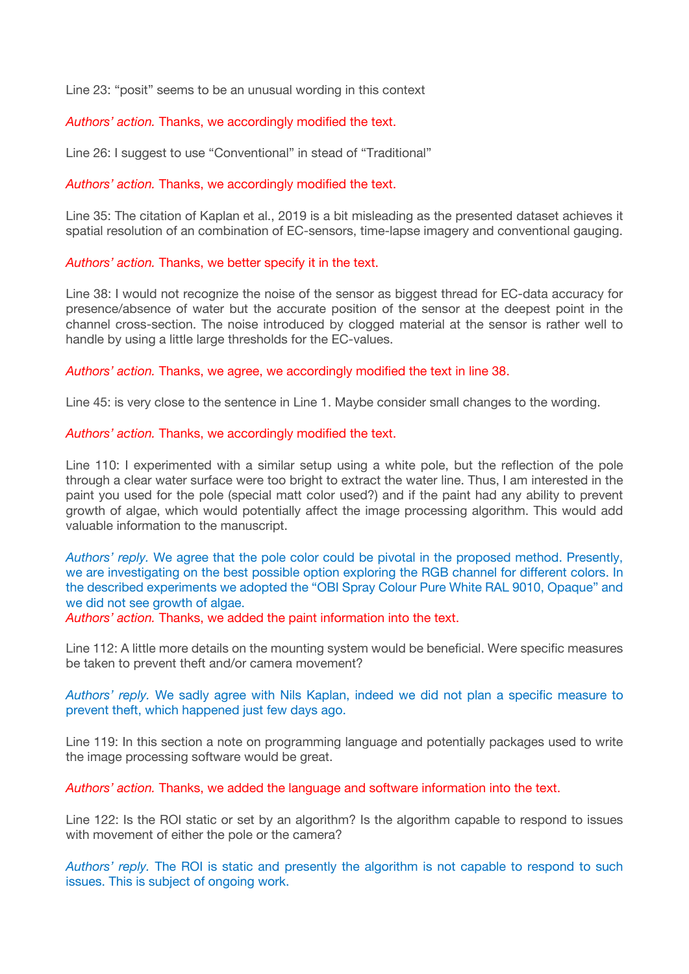Line 23: "posit" seems to be an unusual wording in this context

*Authors' action.* Thanks, we accordingly modified the text.

Line 26: I suggest to use "Conventional" in stead of "Traditional"

### *Authors' action.* Thanks, we accordingly modified the text.

Line 35: The citation of Kaplan et al., 2019 is a bit misleading as the presented dataset achieves it spatial resolution of an combination of EC-sensors, time-lapse imagery and conventional gauging.

### *Authors' action.* Thanks, we better specify it in the text.

Line 38: I would not recognize the noise of the sensor as biggest thread for EC-data accuracy for presence/absence of water but the accurate position of the sensor at the deepest point in the channel cross-section. The noise introduced by clogged material at the sensor is rather well to handle by using a little large thresholds for the EC-values.

*Authors' action.* Thanks, we agree, we accordingly modified the text in line 38.

Line 45: is very close to the sentence in Line 1. Maybe consider small changes to the wording.

### *Authors' action.* Thanks, we accordingly modified the text.

Line 110: I experimented with a similar setup using a white pole, but the reflection of the pole through a clear water surface were too bright to extract the water line. Thus, I am interested in the paint you used for the pole (special matt color used?) and if the paint had any ability to prevent growth of algae, which would potentially affect the image processing algorithm. This would add valuable information to the manuscript.

*Authors' reply.* We agree that the pole color could be pivotal in the proposed method. Presently, we are investigating on the best possible option exploring the RGB channel for different colors. In the described experiments we adopted the "OBI Spray Colour Pure White RAL 9010, Opaque" and we did not see growth of algae.

*Authors' action.* Thanks, we added the paint information into the text.

Line 112: A little more details on the mounting system would be beneficial. Were specific measures be taken to prevent theft and/or camera movement?

*Authors' reply.* We sadly agree with Nils Kaplan, indeed we did not plan a specific measure to prevent theft, which happened just few days ago.

Line 119: In this section a note on programming language and potentially packages used to write the image processing software would be great.

*Authors' action.* Thanks, we added the language and software information into the text.

Line 122: Is the ROI static or set by an algorithm? Is the algorithm capable to respond to issues with movement of either the pole or the camera?

*Authors' reply.* The ROI is static and presently the algorithm is not capable to respond to such issues. This is subject of ongoing work.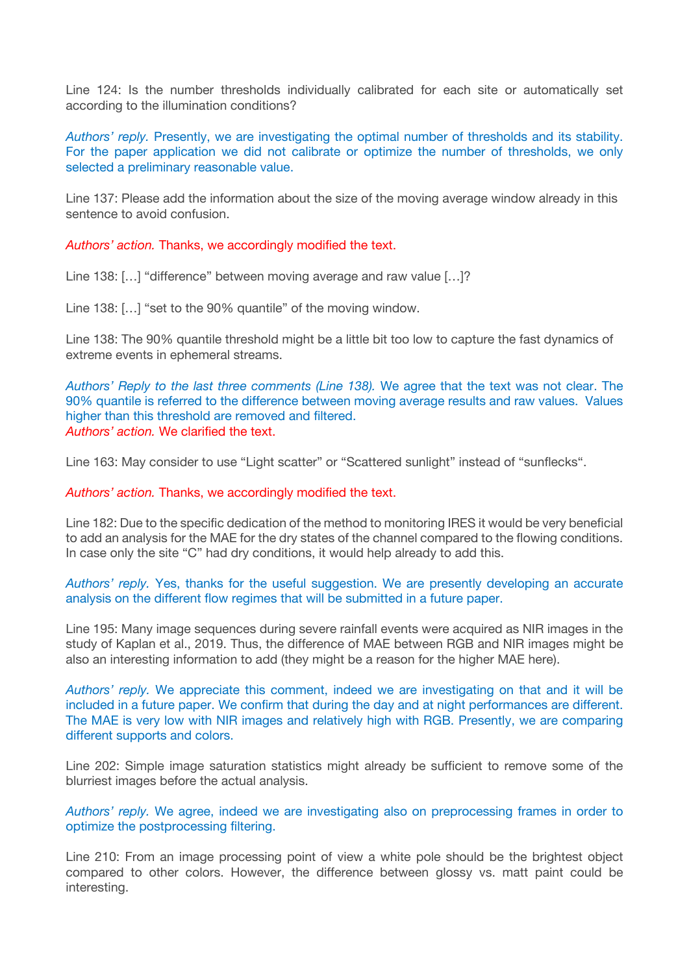Line 124: Is the number thresholds individually calibrated for each site or automatically set according to the illumination conditions?

*Authors' reply.* Presently, we are investigating the optimal number of thresholds and its stability. For the paper application we did not calibrate or optimize the number of thresholds, we only selected a preliminary reasonable value.

Line 137: Please add the information about the size of the moving average window already in this sentence to avoid confusion.

*Authors' action.* Thanks, we accordingly modified the text.

Line 138: […] "difference" between moving average and raw value […]?

Line 138: […] "set to the 90% quantile" of the moving window.

Line 138: The 90% quantile threshold might be a little bit too low to capture the fast dynamics of extreme events in ephemeral streams.

*Authors' Reply to the last three comments (Line 138).* We agree that the text was not clear. The 90% quantile is referred to the difference between moving average results and raw values. Values higher than this threshold are removed and filtered. *Authors' action.* We clarified the text.

Line 163: May consider to use "Light scatter" or "Scattered sunlight" instead of "sunflecks".

*Authors' action.* Thanks, we accordingly modified the text.

Line 182: Due to the specific dedication of the method to monitoring IRES it would be very beneficial to add an analysis for the MAE for the dry states of the channel compared to the flowing conditions. In case only the site "C" had dry conditions, it would help already to add this.

*Authors' reply.* Yes, thanks for the useful suggestion. We are presently developing an accurate analysis on the different flow regimes that will be submitted in a future paper.

Line 195: Many image sequences during severe rainfall events were acquired as NIR images in the study of Kaplan et al., 2019. Thus, the difference of MAE between RGB and NIR images might be also an interesting information to add (they might be a reason for the higher MAE here).

*Authors' reply.* We appreciate this comment, indeed we are investigating on that and it will be included in a future paper. We confirm that during the day and at night performances are different. The MAE is very low with NIR images and relatively high with RGB. Presently, we are comparing different supports and colors.

Line 202: Simple image saturation statistics might already be sufficient to remove some of the blurriest images before the actual analysis.

*Authors' reply.* We agree, indeed we are investigating also on preprocessing frames in order to optimize the postprocessing filtering.

Line 210: From an image processing point of view a white pole should be the brightest object compared to other colors. However, the difference between glossy vs. matt paint could be interesting.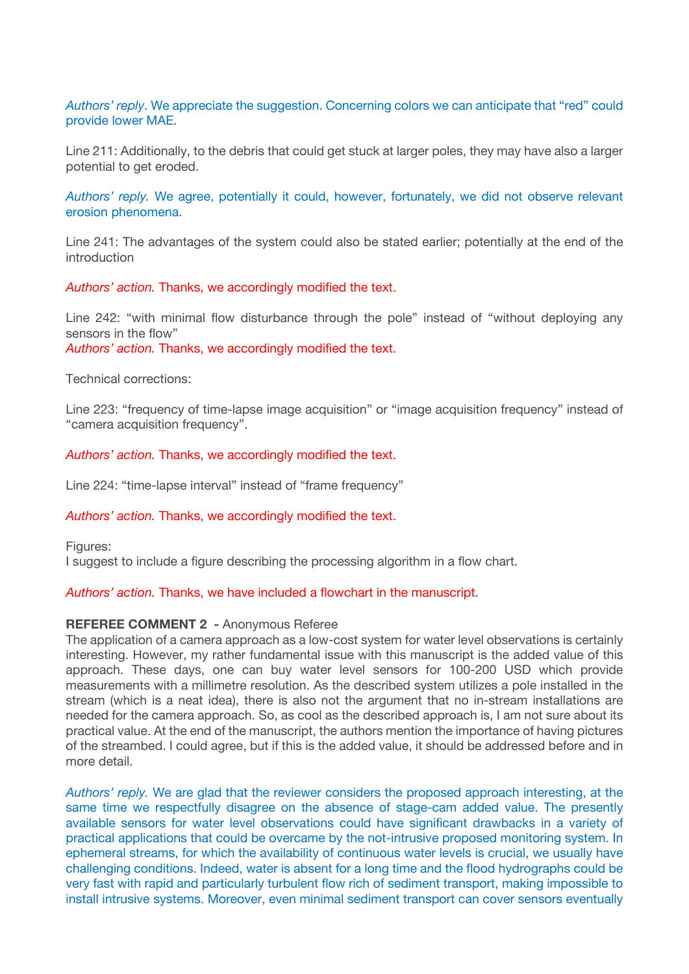# *Authors' reply*. We appreciate the suggestion. Concerning colors we can anticipate that "red" could provide lower MAE.

Line 211: Additionally, to the debris that could get stuck at larger poles, they may have also a larger potential to get eroded.

*Authors' reply.* We agree, potentially it could, however, fortunately, we did not observe relevant erosion phenomena.

Line 241: The advantages of the system could also be stated earlier; potentially at the end of the introduction

*Authors' action.* Thanks, we accordingly modified the text.

Line 242: "with minimal flow disturbance through the pole" instead of "without deploying any sensors in the flow" *Authors' action.* Thanks, we accordingly modified the text.

Technical corrections:

Line 223: "frequency of time-lapse image acquisition" or "image acquisition frequency" instead of "camera acquisition frequency".

*Authors' action.* Thanks, we accordingly modified the text.

Line 224: "time-lapse interval" instead of "frame frequency"

## *Authors' action.* Thanks, we accordingly modified the text.

Figures:

I suggest to include a figure describing the processing algorithm in a flow chart.

*Authors' action.* Thanks, we have included a flowchart in the manuscript.

#### **REFEREE COMMENT 2 -** Anonymous Referee

The application of a camera approach as a low-cost system for water level observations is certainly interesting. However, my rather fundamental issue with this manuscript is the added value of this approach. These days, one can buy water level sensors for 100-200 USD which provide measurements with a millimetre resolution. As the described system utilizes a pole installed in the stream (which is a neat idea), there is also not the argument that no in-stream installations are needed for the camera approach. So, as cool as the described approach is, I am not sure about its practical value. At the end of the manuscript, the authors mention the importance of having pictures of the streambed. I could agree, but if this is the added value, it should be addressed before and in more detail.

*Authors' reply.* We are glad that the reviewer considers the proposed approach interesting, at the same time we respectfully disagree on the absence of stage-cam added value. The presently available sensors for water level observations could have significant drawbacks in a variety of practical applications that could be overcame by the not-intrusive proposed monitoring system. In ephemeral streams, for which the availability of continuous water levels is crucial, we usually have challenging conditions. Indeed, water is absent for a long time and the flood hydrographs could be very fast with rapid and particularly turbulent flow rich of sediment transport, making impossible to install intrusive systems. Moreover, even minimal sediment transport can cover sensors eventually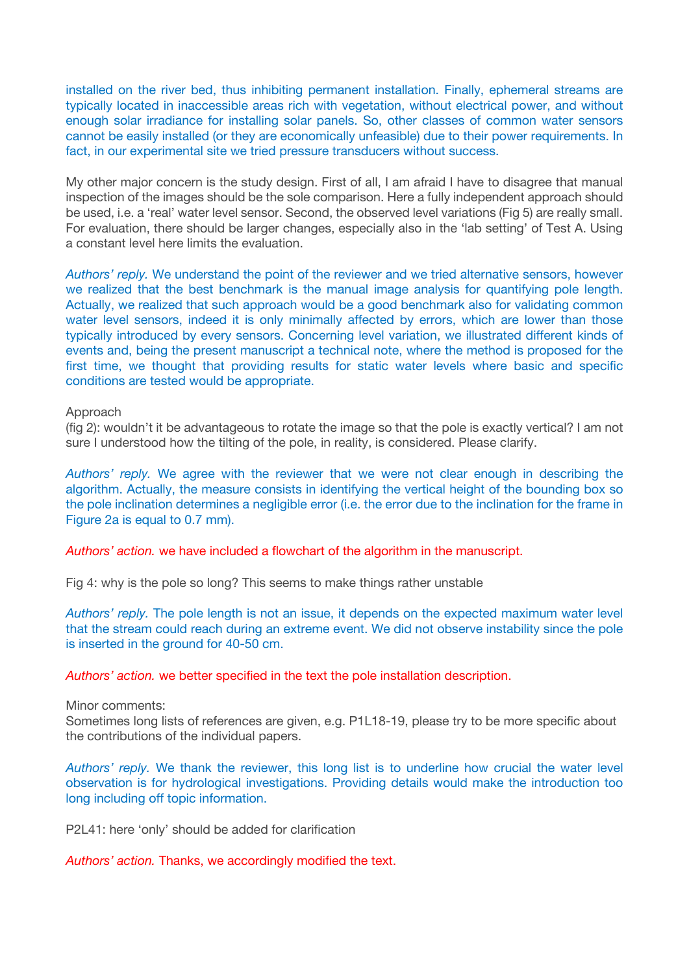installed on the river bed, thus inhibiting permanent installation. Finally, ephemeral streams are typically located in inaccessible areas rich with vegetation, without electrical power, and without enough solar irradiance for installing solar panels. So, other classes of common water sensors cannot be easily installed (or they are economically unfeasible) due to their power requirements. In fact, in our experimental site we tried pressure transducers without success.

My other major concern is the study design. First of all, I am afraid I have to disagree that manual inspection of the images should be the sole comparison. Here a fully independent approach should be used, i.e. a 'real' water level sensor. Second, the observed level variations (Fig 5) are really small. For evaluation, there should be larger changes, especially also in the 'lab setting' of Test A. Using a constant level here limits the evaluation.

*Authors' reply.* We understand the point of the reviewer and we tried alternative sensors, however we realized that the best benchmark is the manual image analysis for quantifying pole length. Actually, we realized that such approach would be a good benchmark also for validating common water level sensors, indeed it is only minimally affected by errors, which are lower than those typically introduced by every sensors. Concerning level variation, we illustrated different kinds of events and, being the present manuscript a technical note, where the method is proposed for the first time, we thought that providing results for static water levels where basic and specific conditions are tested would be appropriate.

#### Approach

(fig 2): wouldn't it be advantageous to rotate the image so that the pole is exactly vertical? I am not sure I understood how the tilting of the pole, in reality, is considered. Please clarify.

*Authors' reply.* We agree with the reviewer that we were not clear enough in describing the algorithm. Actually, the measure consists in identifying the vertical height of the bounding box so the pole inclination determines a negligible error (i.e. the error due to the inclination for the frame in Figure 2a is equal to 0.7 mm).

*Authors' action.* we have included a flowchart of the algorithm in the manuscript.

Fig 4: why is the pole so long? This seems to make things rather unstable

*Authors' reply.* The pole length is not an issue, it depends on the expected maximum water level that the stream could reach during an extreme event. We did not observe instability since the pole is inserted in the ground for 40-50 cm.

*Authors' action.* we better specified in the text the pole installation description.

Minor comments:

Sometimes long lists of references are given, e.g. P1L18-19, please try to be more specific about the contributions of the individual papers.

*Authors' reply.* We thank the reviewer, this long list is to underline how crucial the water level observation is for hydrological investigations. Providing details would make the introduction too long including off topic information.

P2L41: here 'only' should be added for clarification

*Authors' action.* Thanks, we accordingly modified the text.